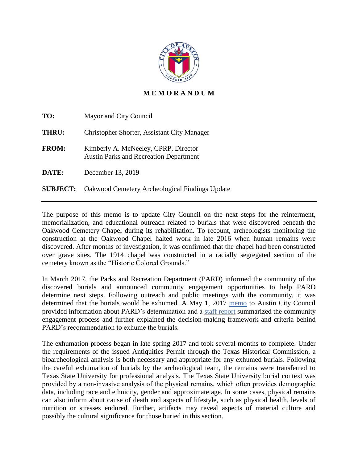

## **M E M O R A N D U M**

| TO:             | Mayor and City Council                                                                |
|-----------------|---------------------------------------------------------------------------------------|
| THRU:           | Christopher Shorter, Assistant City Manager                                           |
| <b>FROM:</b>    | Kimberly A. McNeeley, CPRP, Director<br><b>Austin Parks and Recreation Department</b> |
| DATE:           | December 13, 2019                                                                     |
| <b>SUBJECT:</b> | Oakwood Cemetery Archeological Findings Update                                        |

The purpose of this memo is to update City Council on the next steps for the reinterment, memorialization, and educational outreach related to burials that were discovered beneath the Oakwood Cemetery Chapel during its rehabilitation. To recount, archeologists monitoring the construction at the Oakwood Chapel halted work in late 2016 when human remains were discovered. After months of investigation, it was confirmed that the chapel had been constructed over grave sites. The 1914 chapel was constructed in a racially segregated section of the cemetery known as the "Historic Colored Grounds."

In March 2017, the Parks and Recreation Department (PARD) informed the community of the discovered burials and announced community engagement opportunities to help PARD determine next steps. Following outreach and public meetings with the community, it was determined that the burials would be exhumed. A May 1, 2017 [memo](https://www.austintexas.gov/edims/pio/document.cfm?id=276185) to Austin City Council provided information about PARD's determination and a [staff report](https://www.austintexas.gov/sites/default/files/files/Parks/Planning_and_Development/172704_FINAL_BINDER_OakwoodStaffReport.pdf) summarized the community engagement process and further explained the decision-making framework and criteria behind PARD's recommendation to exhume the burials.

The exhumation process began in late spring 2017 and took several months to complete. Under the requirements of the issued Antiquities Permit through the Texas Historical Commission, a bioarcheological analysis is both necessary and appropriate for any exhumed burials. Following the careful exhumation of burials by the archeological team, the remains were transferred to Texas State University for professional analysis. The Texas State University burial context was provided by a non‐invasive analysis of the physical remains, which often provides demographic data, including race and ethnicity, gender and approximate age. In some cases, physical remains can also inform about cause of death and aspects of lifestyle, such as physical health, levels of nutrition or stresses endured. Further, artifacts may reveal aspects of material culture and possibly the cultural significance for those buried in this section.